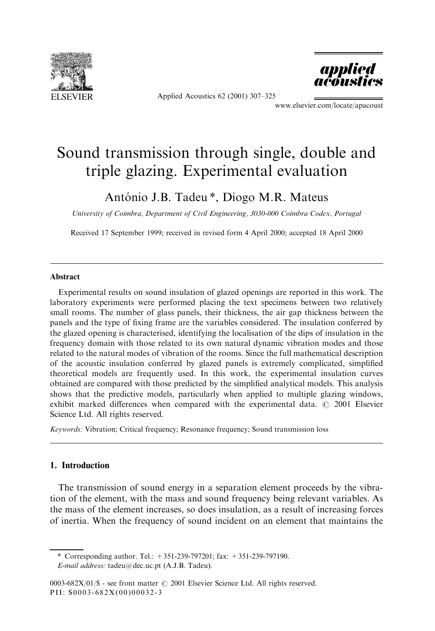

Applied Acoustics 62 (2001) 307-325



www.elsevier.com/locate/apacoust

# Sound transmission through single, double and triple glazing. Experimental evaluation

# António J.B. Tadeu \*, Diogo M.R. Mateus

University of Coimbra, Department of Civil Engineering, 3030-000 Coimbra Codex, Portugal

Received 17 September 1999; received in revised form 4 April 2000; accepted 18 April 2000

#### Abstract

Experimental results on sound insulation of glazed openings are reported in this work. The laboratory experiments were performed placing the text specimens between two relatively small rooms. The number of glass panels, their thickness, the air gap thickness between the panels and the type of fixing frame are the variables considered. The insulation conferred by the glazed opening is characterised, identifying the localisation of the dips of insulation in the frequency domain with those related to its own natural dynamic vibration modes and those related to the natural modes of vibration of the rooms. Since the full mathematical description of the acoustic insulation conferred by glazed panels is extremely complicated, simplified theoretical models are frequently used. In this work, the experimental insulation curves obtained are compared with those predicted by the simplified analytical models. This analysis shows that the predictive models, particularly when applied to multiple glazing windows, exhibit marked differences when compared with the experimental data.  $\odot$  2001 Elsevier Science Ltd. All rights reserved.

Keywords: Vibration; Critical frequency; Resonance frequency; Sound transmission loss

# 1. Introduction

The transmission of sound energy in a separation element proceeds by the vibration of the element, with the mass and sound frequency being relevant variables. As the mass of the element increases, so does insulation, as a result of increasing forces of inertia. When the frequency of sound incident on an element that maintains the

<sup>\*</sup> Corresponding author. Tel.: +351-239-797201; fax: +351-239-797190.

E-mail address: tadeu@dec.uc.pt (A.J.B. Tadeu).

<sup>0003-682</sup>X/01/\$ - see front matter  $\odot$  2001 Elsevier Science Ltd. All rights reserved. PII: S0003-682X(00)00032-3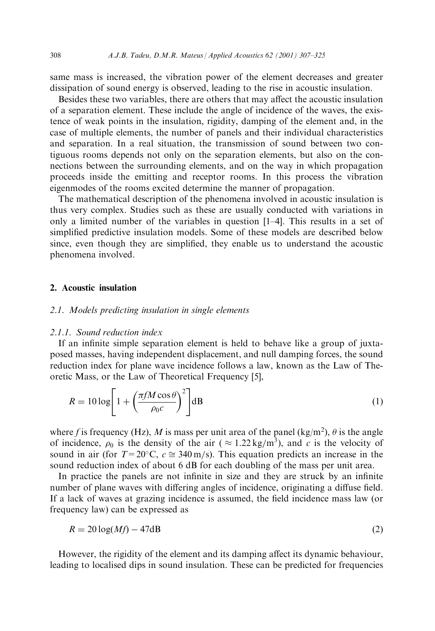same mass is increased, the vibration power of the element decreases and greater dissipation of sound energy is observed, leading to the rise in acoustic insulation.

Besides these two variables, there are others that may affect the acoustic insulation of a separation element. These include the angle of incidence of the waves, the existence of weak points in the insulation, rigidity, damping of the element and, in the case of multiple elements, the number of panels and their individual characteristics and separation. In a real situation, the transmission of sound between two contiguous rooms depends not only on the separation elements, but also on the connections between the surrounding elements, and on the way in which propagation proceeds inside the emitting and receptor rooms. In this process the vibration eigenmodes of the rooms excited determine the manner of propagation.

The mathematical description of the phenomena involved in acoustic insulation is thus very complex. Studies such as these are usually conducted with variations in only a limited number of the variables in question  $[1-4]$ . This results in a set of simplified predictive insulation models. Some of these models are described below since, even though they are simplified, they enable us to understand the acoustic phenomena involved.

# 2. Acoustic insulation

# 2.1. Models predicting insulation in single elements

#### 2.1.1. Sound reduction index

If an infinite simple separation element is held to behave like a group of juxtaposed masses, having independent displacement, and null damping forces, the sound reduction index for plane wave incidence follows a law, known as the Law of Theoretic Mass, or the Law of Theoretical Frequency [5],

$$
R = 10 \log \left[ 1 + \left( \frac{\pi f M \cos \theta}{\rho_0 c} \right)^2 \right] \, \mathrm{dB} \tag{1}
$$

where f is frequency (Hz), M is mass per unit area of the panel (kg/m<sup>2</sup>),  $\theta$  is the angle of incidence,  $\rho_0$  is the density of the air ( $\approx 1.22 \text{ kg/m}^3$ ), and c is the velocity of sound in air (for  $T=20^{\circ}$ C,  $c \approx 340$  m/s). This equation predicts an increase in the sound reduction index of about 6 dB for each doubling of the mass per unit area.

In practice the panels are not infinite in size and they are struck by an infinite number of plane waves with differing angles of incidence, originating a diffuse field. If a lack of waves at grazing incidence is assumed, the field incidence mass law (or frequency law) can be expressed as

$$
R = 20\log(Mf) - 47\text{dB}
$$
\n<sup>(2)</sup>

However, the rigidity of the element and its damping affect its dynamic behaviour, leading to localised dips in sound insulation. These can be predicted for frequencies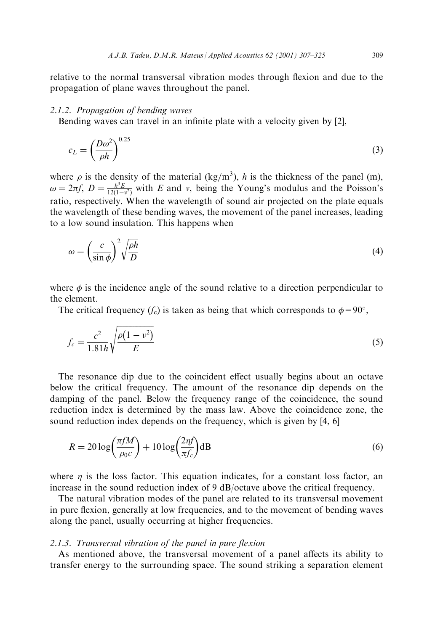relative to the normal transversal vibration modes through flexion and due to the propagation of plane waves throughout the panel.

#### 2.1.2. Propagation of bending waves

Bending waves can travel in an infinite plate with a velocity given by [2],

$$
c_L = \left(\frac{D\omega^2}{\rho h}\right)^{0.25} \tag{3}
$$

where  $\rho$  is the density of the material (kg/m<sup>3</sup>), h is the thickness of the panel (m),  $\omega = 2\pi f$ ,  $D = \frac{h^3 E}{12(1 - v^2)}$  with E and v, being the Young's modulus and the Poisson's ratio, respectively. When the wavelength of sound air projected on the plate equals the wavelength of these bending waves, the movement of the panel increases, leading to a low sound insulation. This happens when

$$
\omega = \left(\frac{c}{\sin \phi}\right)^2 \sqrt{\frac{\rho h}{D}}\tag{4}
$$

where  $\phi$  is the incidence angle of the sound relative to a direction perpendicular to the element.

The critical frequency  $(f_c)$  is taken as being that which corresponds to  $\phi = 90^\circ$ ,

$$
f_c = \frac{c^2}{1.81h} \sqrt{\frac{\rho(1 - v^2)}{E}}
$$
 (5)

The resonance dip due to the coincident effect usually begins about an octave below the critical frequency. The amount of the resonance dip depends on the damping of the panel. Below the frequency range of the coincidence, the sound reduction index is determined by the mass law. Above the coincidence zone, the sound reduction index depends on the frequency, which is given by [4, 6]

$$
R = 20\log\left(\frac{\pi f M}{\rho_0 c}\right) + 10\log\left(\frac{2\eta f}{\pi f_c}\right) \text{dB}
$$
\n(6)

where  $\eta$  is the loss factor. This equation indicates, for a constant loss factor, an increase in the sound reduction index of 9 dB/octave above the critical frequency.

The natural vibration modes of the panel are related to its transversal movement in pure flexion, generally at low frequencies, and to the movement of bending waves along the panel, usually occurring at higher frequencies.

# $2.1.3.$  Transversal vibration of the panel in pure flexion

As mentioned above, the transversal movement of a panel affects its ability to transfer energy to the surrounding space. The sound striking a separation element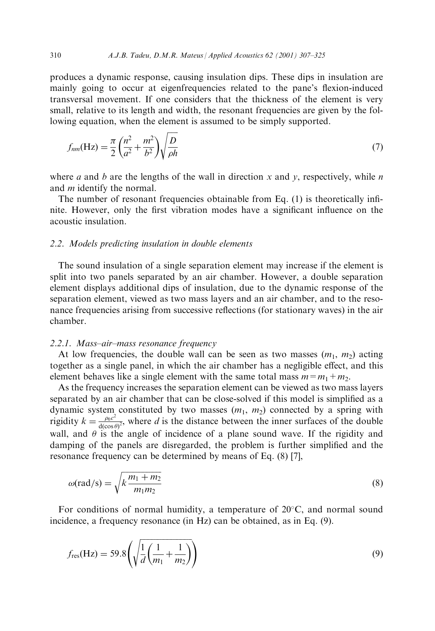produces a dynamic response, causing insulation dips. These dips in insulation are mainly going to occur at eigenfrequencies related to the pane's flexion-induced transversal movement. If one considers that the thickness of the element is very small, relative to its length and width, the resonant frequencies are given by the following equation, when the element is assumed to be simply supported.

$$
f_{nm}(\text{Hz}) = \frac{\pi}{2} \left( \frac{n^2}{a^2} + \frac{m^2}{b^2} \right) \sqrt{\frac{D}{\rho h}}
$$
\n
$$
\tag{7}
$$

where a and b are the lengths of the wall in direction x and y, respectively, while n and *m* identify the normal.

The number of resonant frequencies obtainable from Eq.  $(1)$  is theoretically infinite. However, only the first vibration modes have a significant influence on the acoustic insulation.

#### 2.2. Models predicting insulation in double elements

The sound insulation of a single separation element may increase if the element is split into two panels separated by an air chamber. However, a double separation element displays additional dips of insulation, due to the dynamic response of the separation element, viewed as two mass layers and an air chamber, and to the resonance frequencies arising from successive reflections (for stationary waves) in the air chamber.

#### $2.2.1.$  Mass-air-mass resonance frequency

At low frequencies, the double wall can be seen as two masses  $(m_1, m_2)$  acting together as a single panel, in which the air chamber has a negligible effect, and this element behaves like a single element with the same total mass  $m=m_1+m_2$ .

As the frequency increases the separation element can be viewed as two mass layers separated by an air chamber that can be close-solved if this model is simplified as a dynamic system constituted by two masses  $(m_1, m_2)$  connected by a spring with rigidity  $k = \frac{\rho_0 c^2}{d(\cos \theta)^2}$ , where d is the distance between the inner surfaces of the double wall, and  $\theta$  is the angle of incidence of a plane sound wave. If the rigidity and damping of the panels are disregarded, the problem is further simplified and the resonance frequency can be determined by means of Eq. (8) [7],

$$
\omega(\text{rad/s}) = \sqrt{k \frac{m_1 + m_2}{m_1 m_2}}\tag{8}
$$

For conditions of normal humidity, a temperature of  $20^{\circ}$ C, and normal sound incidence, a frequency resonance (in Hz) can be obtained, as in Eq. (9).

$$
f_{\rm res}(\text{Hz}) = 59.8 \left( \sqrt{\frac{1}{d} \left( \frac{1}{m_1} + \frac{1}{m_2} \right)} \right) \tag{9}
$$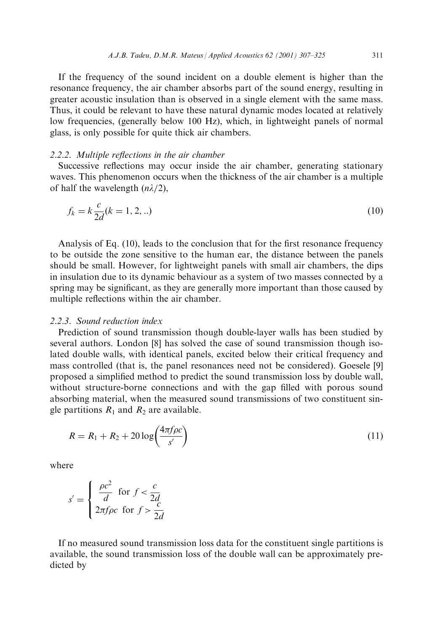If the frequency of the sound incident on a double element is higher than the resonance frequency, the air chamber absorbs part of the sound energy, resulting in greater acoustic insulation than is observed in a single element with the same mass. Thus, it could be relevant to have these natural dynamic modes located at relatively low frequencies, (generally below 100 Hz), which, in lightweight panels of normal glass, is only possible for quite thick air chambers.

# $2.2.2$ . Multiple reflections in the air chamber

Successive reflections may occur inside the air chamber, generating stationary waves. This phenomenon occurs when the thickness of the air chamber is a multiple of half the wavelength  $(n\lambda/2)$ ,

$$
f_k = k \frac{c}{2d}(k = 1, 2, ..)
$$
\n(10)

Analysis of Eq.  $(10)$ , leads to the conclusion that for the first resonance frequency to be outside the zone sensitive to the human ear, the distance between the panels should be small. However, for lightweight panels with small air chambers, the dips in insulation due to its dynamic behaviour as a system of two masses connected by a spring may be significant, as they are generally more important than those caused by multiple reflections within the air chamber.

#### 2.2.3. Sound reduction index

Prediction of sound transmission though double-layer walls has been studied by several authors. London [8] has solved the case of sound transmission though isolated double walls, with identical panels, excited below their critical frequency and mass controlled (that is, the panel resonances need not be considered). Goesele [9] proposed a simplified method to predict the sound transmission loss by double wall, without structure-borne connections and with the gap filled with porous sound absorbing material, when the measured sound transmissions of two constituent single partitions  $R_1$  and  $R_2$  are available.

$$
R = R_1 + R_2 + 20\log\left(\frac{4\pi f \rho c}{s'}\right)
$$
\n(11)

where

$$
s' = \begin{cases} \frac{\rho c^2}{d} & \text{for } f < \frac{c}{2d} \\ 2\pi f \rho c & \text{for } f > \frac{c}{2d} \end{cases}
$$

If no measured sound transmission loss data for the constituent single partitions is available, the sound transmission loss of the double wall can be approximately predicted by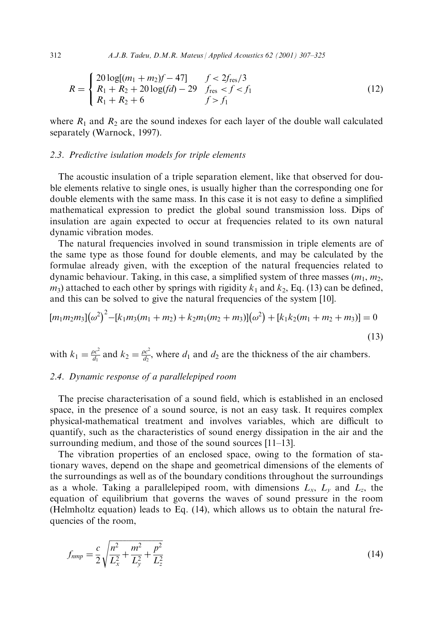312 A.J.B. Tadeu, D.M.R. Mateus / Applied Acoustics 62 (2001) 307±325

$$
R = \begin{cases} 20\log[(m_1 + m_2)f - 47] & f < 2f_{\text{res}}/3\\ R_1 + R_2 + 20\log(fd) - 29 & f_{\text{res}} < f < f_1\\ R_1 + R_2 + 6 & f > f_1 \end{cases}
$$
(12)

where  $R_1$  and  $R_2$  are the sound indexes for each layer of the double wall calculated separately (Warnock, 1997).

# 2.3. Predictive isulation models for triple elements

The acoustic insulation of a triple separation element, like that observed for double elements relative to single ones, is usually higher than the corresponding one for double elements with the same mass. In this case it is not easy to define a simplified mathematical expression to predict the global sound transmission loss. Dips of insulation are again expected to occur at frequencies related to its own natural dynamic vibration modes.

The natural frequencies involved in sound transmission in triple elements are of the same type as those found for double elements, and may be calculated by the formulae already given, with the exception of the natural frequencies related to dynamic behaviour. Taking, in this case, a simplified system of three masses  $(m_1, m_2,$  $m_3$ ) attached to each other by springs with rigidity  $k_1$  and  $k_2$ , Eq. (13) can be defined, and this can be solved to give the natural frequencies of the system [10].

$$
[m_1m_2m_3](\omega^2)^2 - [k_1m_3(m_1 + m_2) + k_2m_1(m_2 + m_3)](\omega^2) + [k_1k_2(m_1 + m_2 + m_3)] = 0
$$
\n(13)

with  $k_1 = \frac{\rho c^2}{d_1}$  and  $k_2 = \frac{\rho c^2}{d_2}$ , where  $d_1$  and  $d_2$  are the thickness of the air chambers.

# 2.4. Dynamic response of a parallelepiped room

The precise characterisation of a sound field, which is established in an enclosed space, in the presence of a sound source, is not an easy task. It requires complex physical-mathematical treatment and involves variables, which are difficult to quantify, such as the characteristics of sound energy dissipation in the air and the surrounding medium, and those of the sound sources  $[11–13]$ .

The vibration properties of an enclosed space, owing to the formation of stationary waves, depend on the shape and geometrical dimensions of the elements of the surroundings as well as of the boundary conditions throughout the surroundings as a whole. Taking a parallelepiped room, with dimensions  $L_x$ ,  $L_y$  and  $L_z$ , the equation of equilibrium that governs the waves of sound pressure in the room (Helmholtz equation) leads to Eq. (14), which allows us to obtain the natural frequencies of the room,

$$
f_{nmp} = \frac{c}{2} \sqrt{\frac{n^2}{L_x^2} + \frac{m^2}{L_y^2} + \frac{p^2}{L_z^2}}
$$
(14)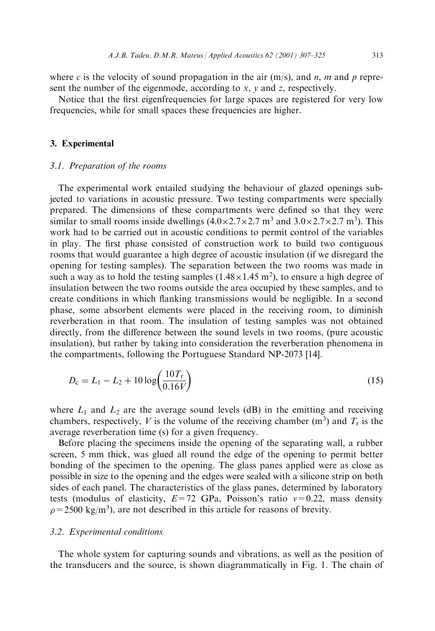where c is the velocity of sound propagation in the air  $(m/s)$ , and n, m and p represent the number of the eigenmode, according to  $x$ ,  $y$  and  $z$ , respectively.

Notice that the first eigenfrequencies for large spaces are registered for very low frequencies, while for small spaces these frequencies are higher.

# 3. Experimental

#### 3.1. Preparation of the rooms

The experimental work entailed studying the behaviour of glazed openings subjected to variations in acoustic pressure. Two testing compartments were specially prepared. The dimensions of these compartments were defined so that they were similar to small rooms inside dwellings  $(4.0 \times 2.7 \times 2.7 \text{ m}^3 \text{ and } 3.0 \times 2.7 \times 2.7 \text{ m}^3)$ . This work had to be carried out in acoustic conditions to permit control of the variables in play. The first phase consisted of construction work to build two contiguous rooms that would guarantee a high degree of acoustic insulation (if we disregard the opening for testing samples). The separation between the two rooms was made in such a way as to hold the testing samples  $(1.48 \times 1.45 \text{ m}^2)$ , to ensure a high degree of insulation between the two rooms outside the area occupied by these samples, and to create conditions in which flanking transmissions would be negligible. In a second phase, some absorbent elements were placed in the receiving room, to diminish reverberation in that room. The insulation of testing samples was not obtained directly, from the difference between the sound levels in two rooms, (pure acoustic insulation), but rather by taking into consideration the reverberation phenomena in the compartments, following the Portuguese Standard NP-2073 [14].

$$
D_{\rm c} = L_1 - L_2 + 10 \log \left( \frac{10 T_{\rm r}}{0.16 V} \right) \tag{15}
$$

where  $L_1$  and  $L_2$  are the average sound levels (dB) in the emitting and receiving chambers, respectively, V is the volume of the receiving chamber  $(m^3)$  and  $T_r$  is the average reverberation time (s) for a given frequency.

Before placing the specimens inside the opening of the separating wall, a rubber screen, 5 mm thick, was glued all round the edge of the opening to permit better bonding of the specimen to the opening. The glass panes applied were as close as possible in size to the opening and the edges were sealed with a silicone strip on both sides of each panel. The characteristics of the glass panes, determined by laboratory tests (modulus of elasticity,  $E=72$  GPa, Poisson's ratio  $v=0.22$ , mass density  $\rho = 2500 \text{ kg/m}^3$ ), are not described in this article for reasons of brevity.

#### 3.2. Experimental conditions

The whole system for capturing sounds and vibrations, as well as the position of the transducers and the source, is shown diagrammatically in Fig. 1. The chain of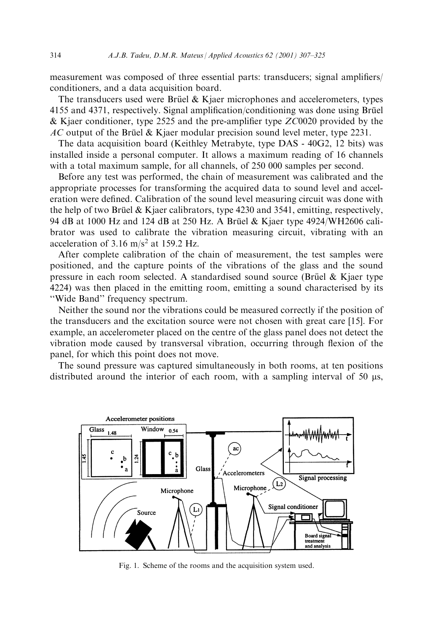measurement was composed of three essential parts: transducers; signal amplifiers/ conditioners, and a data acquisition board.

The transducers used were Brüel  $\&$  Kjaer microphones and accelerometers, types 4155 and 4371, respectively. Signal amplification/conditioning was done using Brüel & Kjaer conditioner, type 2525 and the pre-amplifier type  $ZC0020$  provided by the  $AC$  output of the Brüel & Kjaer modular precision sound level meter, type 2231.

The data acquisition board (Keithley Metrabyte, type DAS - 40G2, 12 bits) was installed inside a personal computer. It allows a maximum reading of 16 channels with a total maximum sample, for all channels, of 250 000 samples per second.

Before any test was performed, the chain of measurement was calibrated and the appropriate processes for transforming the acquired data to sound level and acceleration were defined. Calibration of the sound level measuring circuit was done with the help of two Brüel & Kjaer calibrators, type  $4230$  and  $3541$ , emitting, respectively, 94 dB at 1000 Hz and 124 dB at 250 Hz. A Brüel & Kjaer type 4924/WH2606 calibrator was used to calibrate the vibration measuring circuit, vibrating with an acceleration of  $3.16 \text{ m/s}^2$  at 159.2 Hz.

After complete calibration of the chain of measurement, the test samples were positioned, and the capture points of the vibrations of the glass and the sound pressure in each room selected. A standardised sound source (Brüel  $\&$  Kjaer type 4224) was then placed in the emitting room, emitting a sound characterised by its ``Wide Band'' frequency spectrum.

Neither the sound nor the vibrations could be measured correctly if the position of the transducers and the excitation source were not chosen with great care [15]. For example, an accelerometer placed on the centre of the glass panel does not detect the vibration mode caused by transversal vibration, occurring through flexion of the panel, for which this point does not move.

The sound pressure was captured simultaneously in both rooms, at ten positions distributed around the interior of each room, with a sampling interval of 50  $\mu$ s,



Fig. 1. Scheme of the rooms and the acquisition system used.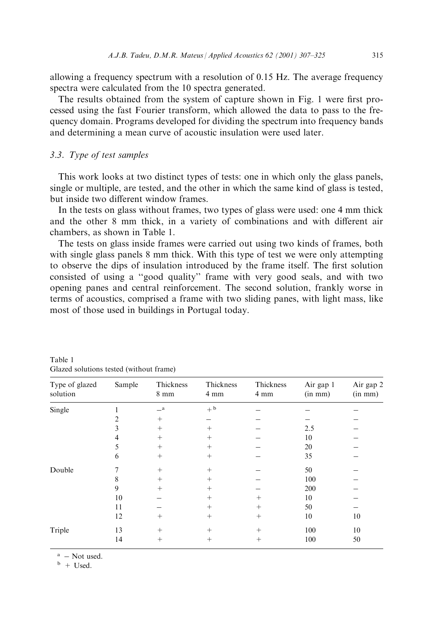allowing a frequency spectrum with a resolution of 0.15 Hz. The average frequency spectra were calculated from the 10 spectra generated.

The results obtained from the system of capture shown in Fig. 1 were first processed using the fast Fourier transform, which allowed the data to pass to the frequency domain. Programs developed for dividing the spectrum into frequency bands and determining a mean curve of acoustic insulation were used later.

#### 3.3. Type of test samples

This work looks at two distinct types of tests: one in which only the glass panels, single or multiple, are tested, and the other in which the same kind of glass is tested, but inside two different window frames.

In the tests on glass without frames, two types of glass were used: one 4 mm thick and the other 8 mm thick, in a variety of combinations and with different air chambers, as shown in Table 1.

The tests on glass inside frames were carried out using two kinds of frames, both with single glass panels 8 mm thick. With this type of test we were only attempting to observe the dips of insulation introduced by the frame itself. The first solution consisted of using a "good quality" frame with very good seals, and with two opening panes and central reinforcement. The second solution, frankly worse in terms of acoustics, comprised a frame with two sliding panes, with light mass, like most of those used in buildings in Portugal today.

| Type of glazed<br>solution | Sample | Thickness<br>$8 \text{ mm}$ | Thickness<br>4 mm | Thickness<br>4 mm | Air gap 1<br>$(in \, mm)$ | Air gap 2<br>$(in \, mm)$ |
|----------------------------|--------|-----------------------------|-------------------|-------------------|---------------------------|---------------------------|
| Single                     |        | $\equiv$ a                  | $+$ b             |                   |                           |                           |
|                            | 2      | $^{+}$                      |                   |                   |                           |                           |
|                            | 3      | $^{+}$                      | $^{+}$            |                   | 2.5                       |                           |
|                            | 4      | $^{+}$                      | $^{+}$            |                   | 10                        |                           |
|                            | 5      | $^{+}$                      | $^{+}$            |                   | 20                        |                           |
|                            | 6      | $^{+}$                      | $^{+}$            |                   | 35                        |                           |
| Double                     |        | $^{+}$                      | $^{+}$            |                   | 50                        |                           |
|                            | 8      | $^{+}$                      | $^{+}$            |                   | 100                       |                           |
|                            | 9      | $+$                         | $^{+}$            |                   | 200                       |                           |
|                            | 10     |                             | $^{+}$            | $^{+}$            | 10                        |                           |
|                            | 11     |                             | $^{+}$            | $^{+}$            | 50                        |                           |
|                            | 12     | $^{+}$                      | $^{+}$            | $^{+}$            | 10                        | 10                        |
| Triple                     | 13     | $^{+}$                      | $^{+}$            | $^{+}$            | 100                       | 10                        |
|                            | 14     | $^{+}$                      | $^{+}$            | $^{+}$            | 100                       | 50                        |
|                            |        |                             |                   |                   |                           |                           |

Table 1 Glazed solutions tested (without frame)

 $a - Not used.$ <br>b + Used.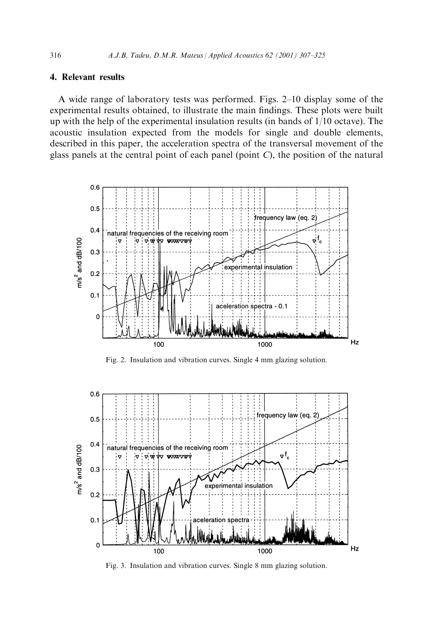# 4. Relevant results

A wide range of laboratory tests was performed. Figs.  $2-10$  display some of the experimental results obtained, to illustrate the main findings. These plots were built up with the help of the experimental insulation results (in bands of 1/10 octave). The acoustic insulation expected from the models for single and double elements, described in this paper, the acceleration spectra of the transversal movement of the glass panels at the central point of each panel (point  $C$ ), the position of the natural



Fig. 2. Insulation and vibration curves. Single 4 mm glazing solution.



Fig. 3. Insulation and vibration curves. Single 8 mm glazing solution.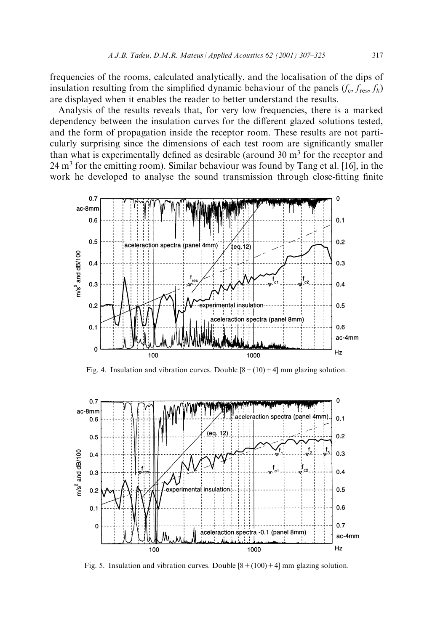frequencies of the rooms, calculated analytically, and the localisation of the dips of insulation resulting from the simplified dynamic behaviour of the panels  $(f_c, f_{res}, f_k)$ are displayed when it enables the reader to better understand the results.

Analysis of the results reveals that, for very low frequencies, there is a marked dependency between the insulation curves for the different glazed solutions tested, and the form of propagation inside the receptor room. These results are not particularly surprising since the dimensions of each test room are significantly smaller than what is experimentally defined as desirable (around  $30 \text{ m}^3$  for the receptor and  $24 \text{ m}^3$  for the emitting room). Similar behaviour was found by Tang et al. [16], in the work he developed to analyse the sound transmission through close-fitting finite



Fig. 4. Insulation and vibration curves. Double  $[8+(10)+4]$  mm glazing solution.



Fig. 5. Insulation and vibration curves. Double  $[8 + (100) + 4]$  mm glazing solution.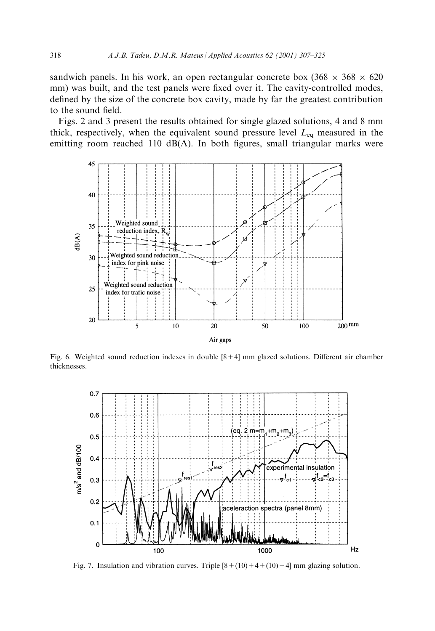sandwich panels. In his work, an open rectangular concrete box  $(368 \times 368 \times 620)$ mm) was built, and the test panels were fixed over it. The cavity-controlled modes, defined by the size of the concrete box cavity, made by far the greatest contribution to the sound field.

Figs. 2 and 3 present the results obtained for single glazed solutions, 4 and 8 mm thick, respectively, when the equivalent sound pressure level  $L_{eq}$  measured in the emitting room reached 110  $dB(A)$ . In both figures, small triangular marks were



Fig. 6. Weighted sound reduction indexes in double  $[8+4]$  mm glazed solutions. Different air chamber thicknesses.



Fig. 7. Insulation and vibration curves. Triple  $[8+(10)+4+(10)+4]$  mm glazing solution.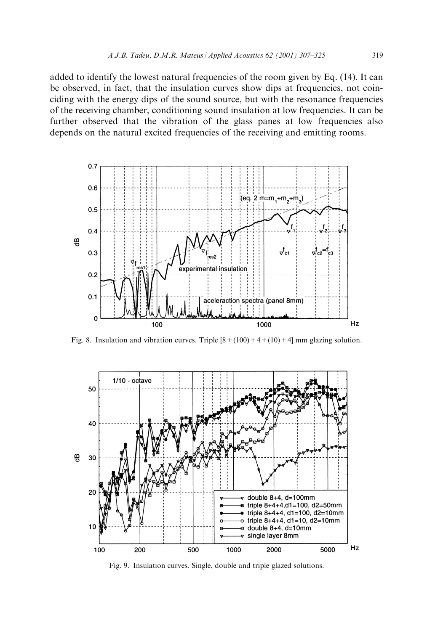added to identify the lowest natural frequencies of the room given by Eq. (14). It can be observed, in fact, that the insulation curves show dips at frequencies, not coinciding with the energy dips of the sound source, but with the resonance frequencies of the receiving chamber, conditioning sound insulation at low frequencies. It can be further observed that the vibration of the glass panes at low frequencies also depends on the natural excited frequencies of the receiving and emitting rooms.



Fig. 8. Insulation and vibration curves. Triple  $[8 + (100) + 4 + (10) + 4]$  mm glazing solution.



Fig. 9. Insulation curves. Single, double and triple glazed solutions.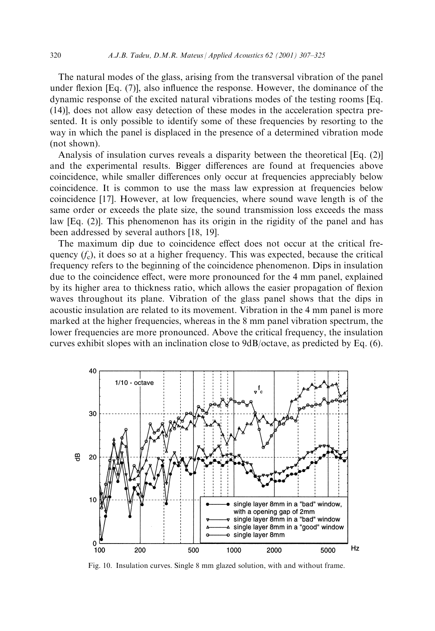The natural modes of the glass, arising from the transversal vibration of the panel under flexion  $[Eq. (7)]$ , also influence the response. However, the dominance of the dynamic response of the excited natural vibrations modes of the testing rooms [Eq. (14)], does not allow easy detection of these modes in the acceleration spectra presented. It is only possible to identify some of these frequencies by resorting to the way in which the panel is displaced in the presence of a determined vibration mode (not shown).

Analysis of insulation curves reveals a disparity between the theoretical [Eq. (2)] and the experimental results. Bigger differences are found at frequencies above coincidence, while smaller differences only occur at frequencies appreciably below coincidence. It is common to use the mass law expression at frequencies below coincidence [17]. However, at low frequencies, where sound wave length is of the same order or exceeds the plate size, the sound transmission loss exceeds the mass law [Eq. (2)]. This phenomenon has its origin in the rigidity of the panel and has been addressed by several authors [18, 19].

The maximum dip due to coincidence effect does not occur at the critical frequency  $(f_c)$ , it does so at a higher frequency. This was expected, because the critical frequency refers to the beginning of the coincidence phenomenon. Dips in insulation due to the coincidence effect, were more pronounced for the 4 mm panel, explained by its higher area to thickness ratio, which allows the easier propagation of flexion waves throughout its plane. Vibration of the glass panel shows that the dips in acoustic insulation are related to its movement. Vibration in the 4 mm panel is more marked at the higher frequencies, whereas in the 8 mm panel vibration spectrum, the lower frequencies are more pronounced. Above the critical frequency, the insulation curves exhibit slopes with an inclination close to 9dB/octave, as predicted by Eq. (6).



Fig. 10. Insulation curves. Single 8 mm glazed solution, with and without frame.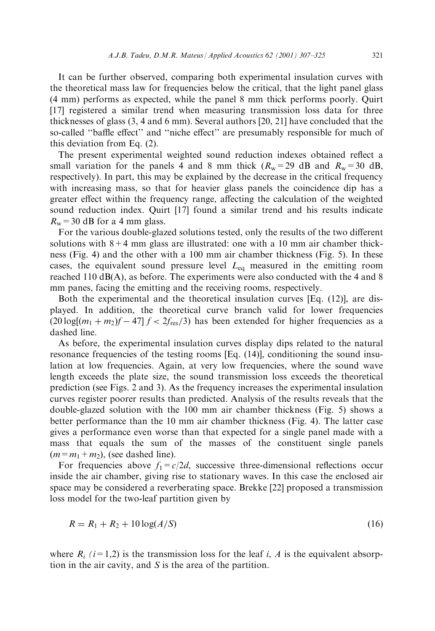It can be further observed, comparing both experimental insulation curves with the theoretical mass law for frequencies below the critical, that the light panel glass (4 mm) performs as expected, while the panel 8 mm thick performs poorly. Quirt [17] registered a similar trend when measuring transmission loss data for three thicknesses of glass (3, 4 and 6 mm). Several authors [20, 21] have concluded that the so-called "baffle effect" and "niche effect" are presumably responsible for much of this deviation from Eq. (2).

The present experimental weighted sound reduction indexes obtained reflect a small variation for the panels 4 and 8 mm thick  $(R_w=29 \text{ dB and } R_w=30 \text{ dB},$ respectively). In part, this may be explained by the decrease in the critical frequency with increasing mass, so that for heavier glass panels the coincidence dip has a greater effect within the frequency range, affecting the calculation of the weighted sound reduction index. Quirt [17] found a similar trend and his results indicate  $R_w$  = 30 dB for a 4 mm glass.

For the various double-glazed solutions tested, only the results of the two different solutions with  $8+4$  mm glass are illustrated: one with a 10 mm air chamber thickness (Fig. 4) and the other with a 100 mm air chamber thickness (Fig. 5). In these cases, the equivalent sound pressure level  $L_{eq}$  measured in the emitting room reached 110 dB(A), as before. The experiments were also conducted with the 4 and 8 mm panes, facing the emitting and the receiving rooms, respectively.

Both the experimental and the theoretical insulation curves [Eq. (12)], are displayed. In addition, the theoretical curve branch valid for lower frequencies  $(20 \log(m_1 + m_2)f - 47$   $f < 2f_{\text{res}}/3$ ) has been extended for higher frequencies as a dashed line.

As before, the experimental insulation curves display dips related to the natural resonance frequencies of the testing rooms [Eq. (14)], conditioning the sound insulation at low frequencies. Again, at very low frequencies, where the sound wave length exceeds the plate size, the sound transmission loss exceeds the theoretical prediction (see Figs. 2 and 3). As the frequency increases the experimental insulation curves register poorer results than predicted. Analysis of the results reveals that the double-glazed solution with the 100 mm air chamber thickness (Fig. 5) shows a better performance than the 10 mm air chamber thickness (Fig. 4). The latter case gives a performance even worse than that expected for a single panel made with a mass that equals the sum of the masses of the constituent single panels  $(m=m_1+m_2)$ , (see dashed line).

For frequencies above  $f_1 = c/2d$ , successive three-dimensional reflections occur inside the air chamber, giving rise to stationary waves. In this case the enclosed air space may be considered a reverberating space. Brekke [22] proposed a transmission loss model for the two-leaf partition given by

$$
R = R_1 + R_2 + 10\log(A/S)
$$
 (16)

where  $R_i$  (i=1,2) is the transmission loss for the leaf i, A is the equivalent absorption in the air cavity, and S is the area of the partition.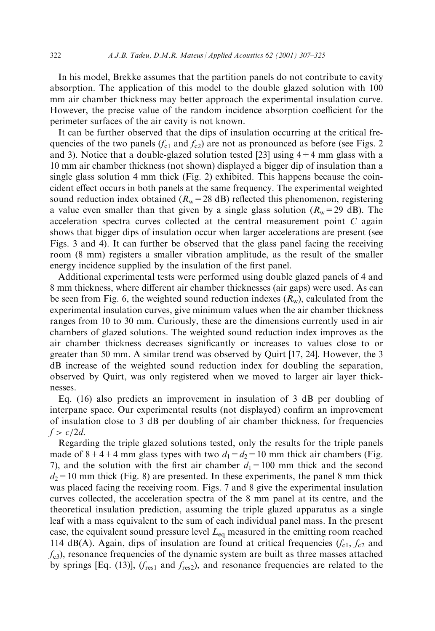In his model, Brekke assumes that the partition panels do not contribute to cavity absorption. The application of this model to the double glazed solution with 100 mm air chamber thickness may better approach the experimental insulation curve. However, the precise value of the random incidence absorption coefficient for the perimeter surfaces of the air cavity is not known.

It can be further observed that the dips of insulation occurring at the critical frequencies of the two panels ( $f_{c1}$  and  $f_{c2}$ ) are not as pronounced as before (see Figs. 2 and 3). Notice that a double-glazed solution tested [23] using  $4+4$  mm glass with a 10 mm air chamber thickness (not shown) displayed a bigger dip of insulation than a single glass solution 4 mm thick (Fig. 2) exhibited. This happens because the coincident effect occurs in both panels at the same frequency. The experimental weighted sound reduction index obtained ( $R_w$ =28 dB) reflected this phenomenon, registering a value even smaller than that given by a single glass solution ( $R_w$ =29 dB). The acceleration spectra curves collected at the central measurement point C again shows that bigger dips of insulation occur when larger accelerations are present (see Figs. 3 and 4). It can further be observed that the glass panel facing the receiving room (8 mm) registers a smaller vibration amplitude, as the result of the smaller energy incidence supplied by the insulation of the first panel.

Additional experimental tests were performed using double glazed panels of 4 and 8 mm thickness, where different air chamber thicknesses (air gaps) were used. As can be seen from Fig. 6, the weighted sound reduction indexes  $(R_w)$ , calculated from the experimental insulation curves, give minimum values when the air chamber thickness ranges from 10 to 30 mm. Curiously, these are the dimensions currently used in air chambers of glazed solutions. The weighted sound reduction index improves as the air chamber thickness decreases significantly or increases to values close to or greater than 50 mm. A similar trend was observed by Quirt [17, 24]. However, the 3 dB increase of the weighted sound reduction index for doubling the separation, observed by Quirt, was only registered when we moved to larger air layer thicknesses.

Eq. (16) also predicts an improvement in insulation of 3 dB per doubling of interpane space. Our experimental results (not displayed) confirm an improvement of insulation close to 3 dB per doubling of air chamber thickness, for frequencies  $f > c/2d$ .

Regarding the triple glazed solutions tested, only the results for the triple panels made of  $8+4+4$  mm glass types with two  $d_1 = d_2 = 10$  mm thick air chambers (Fig. 7), and the solution with the first air chamber  $d_1=100$  mm thick and the second  $d_2=10$  mm thick (Fig. 8) are presented. In these experiments, the panel 8 mm thick was placed facing the receiving room. Figs. 7 and 8 give the experimental insulation curves collected, the acceleration spectra of the 8 mm panel at its centre, and the theoretical insulation prediction, assuming the triple glazed apparatus as a single leaf with a mass equivalent to the sum of each individual panel mass. In the present case, the equivalent sound pressure level  $L_{eq}$  measured in the emitting room reached 114 dB(A). Again, dips of insulation are found at critical frequencies  $(f_{c1}, f_{c2}$  and  $f_{c3}$ , resonance frequencies of the dynamic system are built as three masses attached by springs [Eq. (13)],  $(f_{res1}$  and  $f_{res2})$ , and resonance frequencies are related to the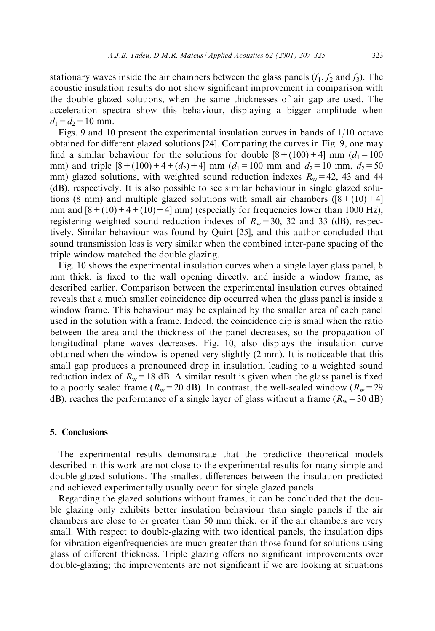stationary waves inside the air chambers between the glass panels  $(f_1, f_2 \text{ and } f_3)$ . The acoustic insulation results do not show significant improvement in comparison with the double glazed solutions, when the same thicknesses of air gap are used. The acceleration spectra show this behaviour, displaying a bigger amplitude when  $d_1 = d_2 = 10$  mm.

Figs. 9 and 10 present the experimental insulation curves in bands of 1/10 octave obtained for different glazed solutions  $[24]$ . Comparing the curves in Fig. 9, one may find a similar behaviour for the solutions for double  $[8+(100)+4]$  mm  $(d_1=100)$ mm) and triple  $[8 + (100) + 4 + (d_2) + 4]$  mm  $(d_1 = 100$  mm and  $d_2 = 10$  mm,  $d_2 = 50$ mm) glazed solutions, with weighted sound reduction indexes  $R_w=42$ , 43 and 44 (dB), respectively. It is also possible to see similar behaviour in single glazed solutions (8 mm) and multiple glazed solutions with small air chambers ( $[8 + (10) + 4]$ mm and  $[8+(10)+4+(10)+4]$  mm) (especially for frequencies lower than 1000 Hz), registering weighted sound reduction indexes of  $R_w = 30$ , 32 and 33 (dB), respectively. Similar behaviour was found by Quirt [25], and this author concluded that sound transmission loss is very similar when the combined inter-pane spacing of the triple window matched the double glazing.

Fig. 10 shows the experimental insulation curves when a single layer glass panel, 8 mm thick, is fixed to the wall opening directly, and inside a window frame, as described earlier. Comparison between the experimental insulation curves obtained reveals that a much smaller coincidence dip occurred when the glass panel is inside a window frame. This behaviour may be explained by the smaller area of each panel used in the solution with a frame. Indeed, the coincidence dip is small when the ratio between the area and the thickness of the panel decreases, so the propagation of longitudinal plane waves decreases. Fig. 10, also displays the insulation curve obtained when the window is opened very slightly (2 mm). It is noticeable that this small gap produces a pronounced drop in insulation, leading to a weighted sound reduction index of  $R_w=18$  dB. A similar result is given when the glass panel is fixed to a poorly sealed frame ( $R_w$ =20 dB). In contrast, the well-sealed window ( $R_w$ =29 dB), reaches the performance of a single layer of glass without a frame ( $R_w$  = 30 dB)

#### 5. Conclusions

The experimental results demonstrate that the predictive theoretical models described in this work are not close to the experimental results for many simple and double-glazed solutions. The smallest differences between the insulation predicted and achieved experimentally usually occur for single glazed panels.

Regarding the glazed solutions without frames, it can be concluded that the double glazing only exhibits better insulation behaviour than single panels if the air chambers are close to or greater than 50 mm thick, or if the air chambers are very small. With respect to double-glazing with two identical panels, the insulation dips for vibration eigenfrequencies are much greater than those found for solutions using glass of different thickness. Triple glazing offers no significant improvements over double-glazing; the improvements are not significant if we are looking at situations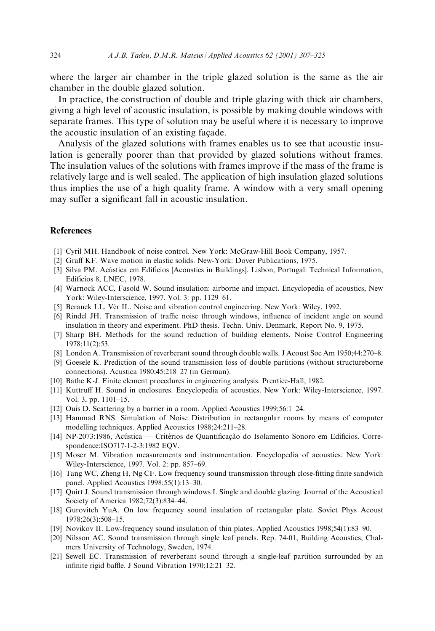where the larger air chamber in the triple glazed solution is the same as the air chamber in the double glazed solution.

In practice, the construction of double and triple glazing with thick air chambers, giving a high level of acoustic insulation, is possible by making double windows with separate frames. This type of solution may be useful where it is necessary to improve the acoustic insulation of an existing facede.

Analysis of the glazed solutions with frames enables us to see that acoustic insulation is generally poorer than that provided by glazed solutions without frames. The insulation values of the solutions with frames improve if the mass of the frame is relatively large and is well sealed. The application of high insulation glazed solutions thus implies the use of a high quality frame. A window with a very small opening may suffer a significant fall in acoustic insulation.

#### References

- [1] Cyril MH. Handbook of noise control. New York: McGraw-Hill Book Company, 1957.
- [2] Graff KF. Wave motion in elastic solids. New-York: Dover Publications, 1975.
- [3] Silva PM. Acústica em Edifícios [Acoustics in Buildings]. Lisbon, Portugal: Technical Information, Edifícios 8, LNEC, 1978.
- [4] Warnock ACC, Fasold W. Sound insulation: airborne and impact. Encyclopedia of acoustics, New York: Wiley-Interscience, 1997. Vol. 3: pp. 1129-61.
- [5] Beranek LL, Vér IL. Noise and vibration control engineering. New York: Wiley, 1992.
- [6] Rindel JH. Transmission of traffic noise through windows, influence of incident angle on sound insulation in theory and experiment. PhD thesis. Techn. Univ. Denmark, Report No. 9, 1975.
- [7] Sharp BH. Methods for the sound reduction of building elements. Noise Control Engineering 1978;11(2):53.
- [8] London A. Transmission of reverberant sound through double walls. J Acoust Soc Am 1950;44:270–8.
- [9] Goesele K. Prediction of the sound transmission loss of double partitions (without structureborne connections). Acustica 1980;45:218-27 (in German).
- [10] Bathe K-J. Finite element procedures in engineering analysis. Prentice-Hall, 1982.
- [11] Kuttruff H. Sound in enclosures. Encyclopedia of acoustics. New York: Wiley-Interscience, 1997. Vol. 3, pp.  $1101-15$ .
- [12] Ouis D. Scattering by a barrier in a room. Applied Acoustics 1999;56:1-24.
- [13] Hammad RNS. Simulation of Noise Distribution in rectangular rooms by means of computer modelling techniques. Applied Acoustics 1988;24:211-28.
- [14] NP-2073:1986, Acústica Critérios de Quantificação do Isolamento Sonoro em Edificios. Correspondence:ISO717-1-2-3:1982 EQV.
- [15] Moser M. Vibration measurements and instrumentation. Encyclopedia of acoustics. New York: Wiley-Interscience, 1997. Vol. 2: pp. 857–69.
- [16] Tang WC, Zheng H, Ng CF. Low frequency sound transmission through close-fitting finite sandwich panel. Applied Acoustics 1998;55(1):13-30.
- [17] Quirt J. Sound transmission through windows I. Single and double glazing. Journal of the Acoustical Society of America 1982;72(3):834-44.
- [18] Gurovitch YuA. On low frequency sound insulation of rectangular plate. Soviet Phys Acoust 1978;26(3):508±15.
- [19] Novikov II. Low-frequency sound insulation of thin plates. Applied Acoustics 1998;54(1):83–90.
- [20] Nilsson AC. Sound transmission through single leaf panels. Rep. 74-01, Building Acoustics, Chalmers University of Technology, Sweden, 1974.
- [21] Sewell EC. Transmission of reverberant sound through a single-leaf partition surrounded by an infinite rigid baffle. J Sound Vibration 1970;12:21-32.